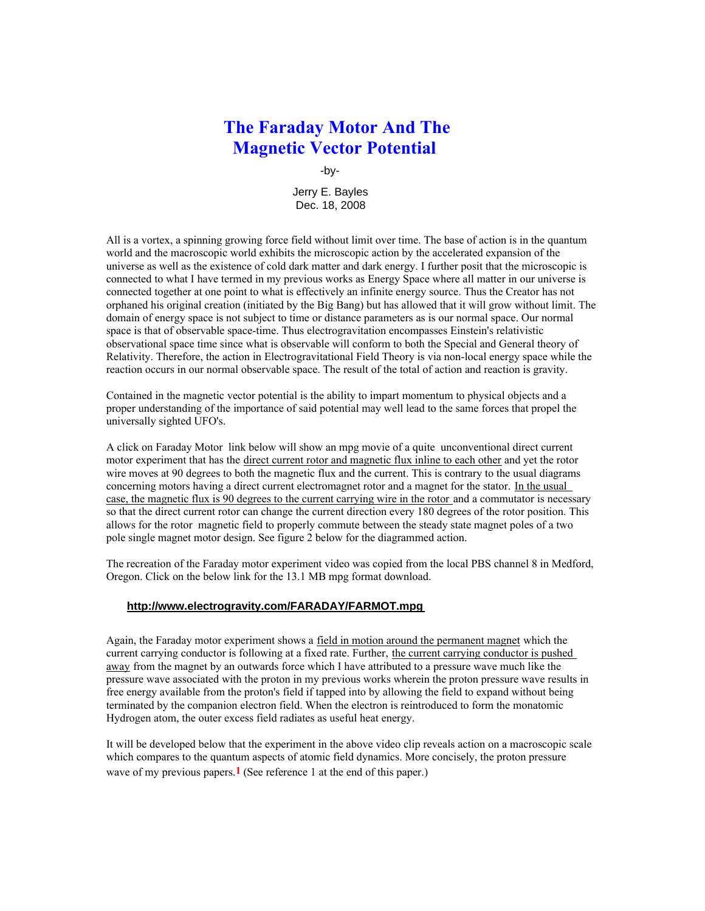## **The Faraday Motor And The Magnetic Vector Potential**

-by-

Jerry E. Bayles Dec. 18, 2008

All is a vortex, a spinning growing force field without limit over time. The base of action is in the quantum world and the macroscopic world exhibits the microscopic action by the accelerated expansion of the universe as well as the existence of cold dark matter and dark energy. I further posit that the microscopic is connected to what I have termed in my previous works as Energy Space where all matter in our universe is connected together at one point to what is effectively an infinite energy source. Thus the Creator has not orphaned his original creation (initiated by the Big Bang) but has allowed that it will grow without limit. The domain of energy space is not subject to time or distance parameters as is our normal space. Our normal space is that of observable space-time. Thus electrogravitation encompasses Einstein's relativistic observational space time since what is observable will conform to both the Special and General theory of Relativity. Therefore, the action in Electrogravitational Field Theory is via non-local energy space while the reaction occurs in our normal observable space. The result of the total of action and reaction is gravity.

Contained in the magnetic vector potential is the ability to impart momentum to physical objects and a proper understanding of the importance of said potential may well lead to the same forces that propel the universally sighted UFO's.

A click on Faraday Motor link below will show an mpg movie of a quite unconventional direct current motor experiment that has the direct current rotor and magnetic flux inline to each other and yet the rotor wire moves at 90 degrees to both the magnetic flux and the current. This is contrary to the usual diagrams concerning motors having a direct current electromagnet rotor and a magnet for the stator. In the usual case, the magnetic flux is 90 degrees to the current carrying wire in the rotor and a commutator is necessary so that the direct current rotor can change the current direction every 180 degrees of the rotor position. This allows for the rotor magnetic field to properly commute between the steady state magnet poles of a two pole single magnet motor design. See figure 2 below for the diagrammed action.

The recreation of the Faraday motor experiment video was copied from the local PBS channel 8 in Medford, Oregon. Click on the below link for the 13.1 MB mpg format download.

#### **http://www.electrogravity.com/FARADAY/FARMOT.mpg**

Again, the Faraday motor experiment shows a field in motion around the permanent magnet which the current carrying conductor is following at a fixed rate. Further, the current carrying conductor is pushed away from the magnet by an outwards force which I have attributed to a pressure wave much like the pressure wave associated with the proton in my previous works wherein the proton pressure wave results in free energy available from the proton's field if tapped into by allowing the field to expand without being terminated by the companion electron field. When the electron is reintroduced to form the monatomic Hydrogen atom, the outer excess field radiates as useful heat energy.

It will be developed below that the experiment in the above video clip reveals action on a macroscopic scale which compares to the quantum aspects of atomic field dynamics. More concisely, the proton pressure wave of my previous papers.**1** (See reference 1 at the end of this paper.)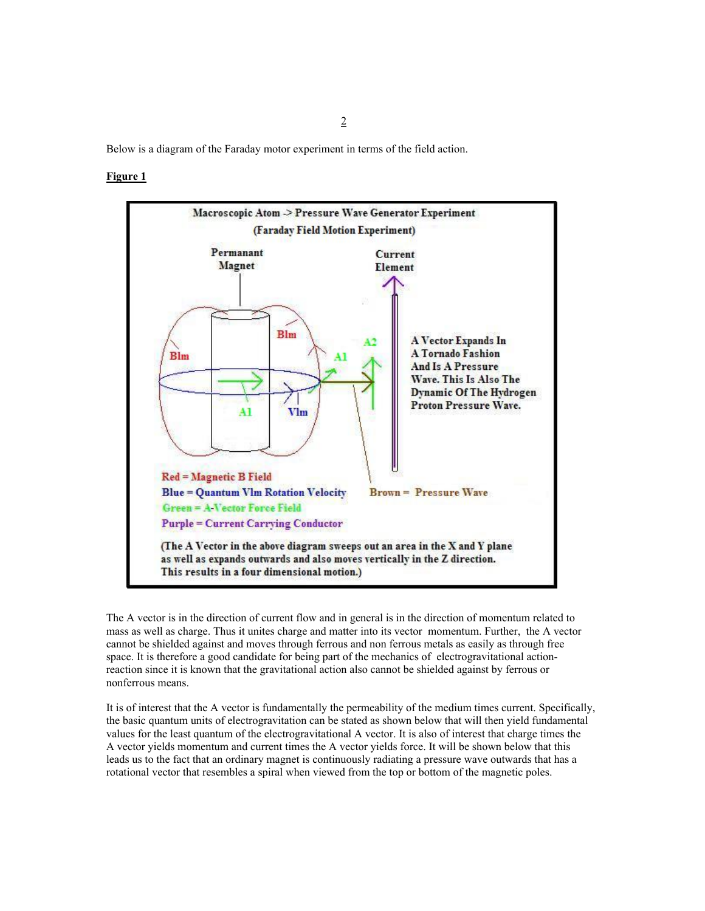Below is a diagram of the Faraday motor experiment in terms of the field action.

### **Figure 1**



The A vector is in the direction of current flow and in general is in the direction of momentum related to mass as well as charge. Thus it unites charge and matter into its vector momentum. Further, the A vector cannot be shielded against and moves through ferrous and non ferrous metals as easily as through free space. It is therefore a good candidate for being part of the mechanics of electrogravitational actionreaction since it is known that the gravitational action also cannot be shielded against by ferrous or nonferrous means.

It is of interest that the A vector is fundamentally the permeability of the medium times current. Specifically, the basic quantum units of electrogravitation can be stated as shown below that will then yield fundamental values for the least quantum of the electrogravitational A vector. It is also of interest that charge times the A vector yields momentum and current times the A vector yields force. It will be shown below that this leads us to the fact that an ordinary magnet is continuously radiating a pressure wave outwards that has a rotational vector that resembles a spiral when viewed from the top or bottom of the magnetic poles.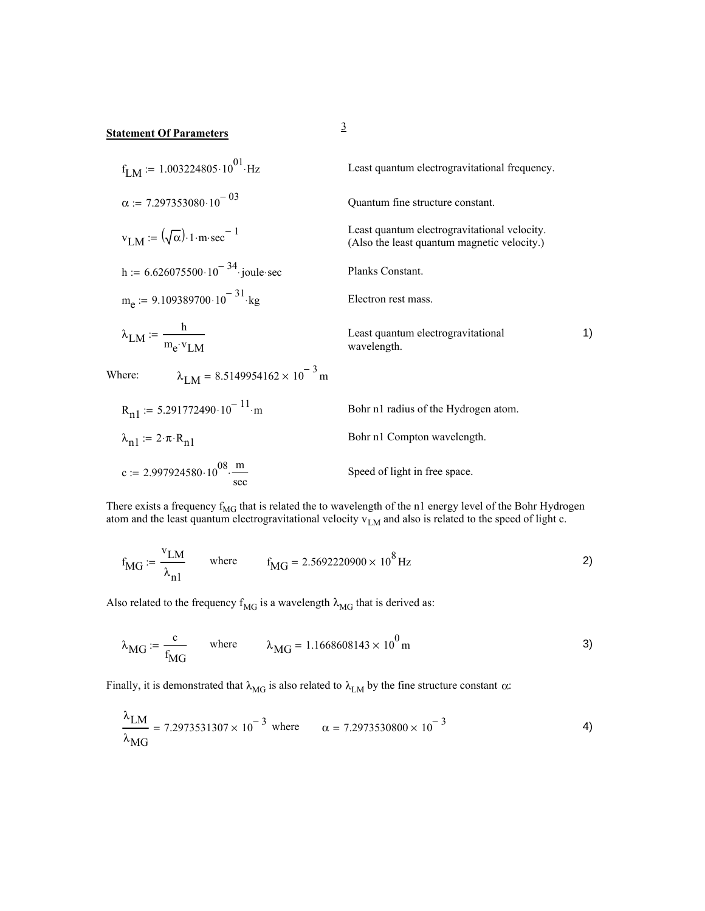# <sup>3</sup> **Statement Of Parameters**

c := 2.997924580  $\cdot 10^{08} \cdot \frac{m}{\text{sec}}$ 

$$
f_{LM} := 1.003224805 \cdot 10^{01} \cdot Hz
$$
\n
$$
\alpha := 7.297353080 \cdot 10^{-03}
$$
\n
$$
V_{LM} := (\sqrt{\alpha}) \cdot 1 \cdot m \cdot sec^{-1}
$$
\n
$$
h := 6.626075500 \cdot 10^{-34} \cdot joule - sec
$$
\n
$$
m_e := 9.109389700 \cdot 10^{-31} \cdot kg
$$
\n
$$
\lambda_{LM} := \frac{h}{m_e \cdot v_{LM}}
$$
\n
$$
R_{n1} := 5.291772490 \cdot 10^{-11} \cdot m
$$
\n
$$
h_{n2} = 2 \cdot \pi \cdot R_{n1}
$$
\n
$$
R_{n2} = 2 \cdot 10^{-31} \cdot kg
$$
\n
$$
R_{n3} = 8.5149954162 \times 10^{-3} \text{ m}
$$
\n
$$
R_{n4} = 8.5149954162 \times 10^{-3} \text{ m}
$$
\n
$$
R_{n5} = 1000 \text{ m}
$$
\n
$$
R_{n6} = 1000 \text{ m}
$$
\n
$$
R_{n7} = 1000 \text{ m}
$$
\n
$$
R_{n8} = 1000 \text{ m}
$$
\n
$$
R_{n9} = 1000 \text{ m}
$$
\n
$$
R_{n1} = 5.291772490 \cdot 10^{-11} \cdot m
$$
\n
$$
R_{n1} = 2 \cdot \pi \cdot R_{n1}
$$
\n
$$
R_{n1} = 2 \cdot \pi \cdot R_{n1}
$$
\n
$$
R_{n2} = 2 \cdot \pi \cdot R_{n2}
$$
\n
$$
R_{n3} = 2 \cdot \pi \cdot R_{n1}
$$
\n
$$
R_{n4} = 2 \cdot \pi \cdot R_{n1}
$$
\n
$$
R_{n4} = 2 \cdot \pi \cdot R_{n2}
$$
\n
$$
R_{n5} = 2 \cdot \pi \cdot R_{n4}
$$
\n
$$
R_{n6} = 2 \cdot 1
$$

There exists a frequency  $f_{MG}$  that is related the to wavelength of the n1 energy level of the Bohr Hydrogen atom and the least quantum electrogravitational velocity  $v_{LM}$  and also is related to the speed of light c.

Speed of light in free space.

$$
f_{\text{MG}} := \frac{v_{\text{LM}}}{\lambda_{\text{n1}}}
$$
 where  $f_{\text{MG}} = 2.5692220900 \times 10^8 \text{ Hz}$  2)

Also related to the frequency  $f_{MG}$  is a wavelength  $\lambda_{MG}$  that is derived as:

$$
\lambda_{\text{MG}} \coloneqq \frac{c}{f_{\text{MG}}} \qquad \text{where} \qquad \lambda_{\text{MG}} = 1.1668608143 \times 10^0 \,\text{m} \tag{3}
$$

Finally, it is demonstrated that  $\lambda_{MG}$  is also related to  $\lambda_{LM}$  by the fine structure constant  $\alpha$ :

$$
\frac{\lambda_{\text{LM}}}{\lambda_{\text{MG}}} = 7.2973531307 \times 10^{-3} \text{ where } \alpha = 7.2973530800 \times 10^{-3}
$$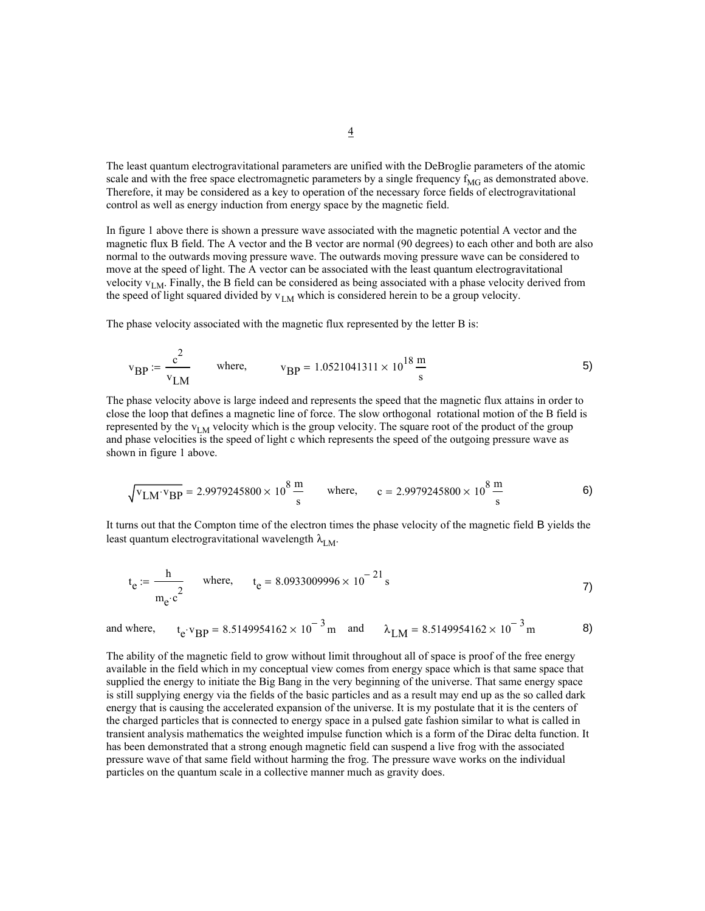The least quantum electrogravitational parameters are unified with the DeBroglie parameters of the atomic scale and with the free space electromagnetic parameters by a single frequency  $f_{\text{MG}}$  as demonstrated above. Therefore, it may be considered as a key to operation of the necessary force fields of electrogravitational control as well as energy induction from energy space by the magnetic field.

In figure 1 above there is shown a pressure wave associated with the magnetic potential A vector and the magnetic flux B field. The A vector and the B vector are normal (90 degrees) to each other and both are also normal to the outwards moving pressure wave. The outwards moving pressure wave can be considered to move at the speed of light. The A vector can be associated with the least quantum electrogravitational velocity  $v_{LM}$ . Finally, the B field can be considered as being associated with a phase velocity derived from the speed of light squared divided by  $v_{LM}$  which is considered herein to be a group velocity.

The phase velocity associated with the magnetic flux represented by the letter B is:

$$
v_{\rm BP} := \frac{c^2}{v_{\rm LM}}
$$
 where,  $v_{\rm BP} = 1.0521041311 \times 10^{18} \frac{\text{m}}{\text{s}}$  5)

The phase velocity above is large indeed and represents the speed that the magnetic flux attains in order to close the loop that defines a magnetic line of force. The slow orthogonal rotational motion of the B field is represented by the  $v_{LM}$  velocity which is the group velocity. The square root of the product of the group and phase velocities is the speed of light c which represents the speed of the outgoing pressure wave as shown in figure 1 above.

$$
\sqrt{\text{v}_{LM} \cdot \text{v}_{BP}} = 2.9979245800 \times 10^8 \frac{\text{m}}{\text{s}} \qquad \text{where,} \qquad \text{c} = 2.9979245800 \times 10^8 \frac{\text{m}}{\text{s}} \tag{6}
$$

It turns out that the Compton time of the electron times the phase velocity of the magnetic field B yields the least quantum electrogravitational wavelength  $\lambda_{LM}$ .

$$
t_e := \frac{h}{m_e \cdot c^2}
$$
 where,  $t_e = 8.0933009996 \times 10^{-21} s$  7)

and where, 
$$
t_e v_{BP} = 8.5149954162 \times 10^{-3} m
$$
 and  $\lambda_{LM} = 8.5149954162 \times 10^{-3} m$  8)

The ability of the magnetic field to grow without limit throughout all of space is proof of the free energy available in the field which in my conceptual view comes from energy space which is that same space that supplied the energy to initiate the Big Bang in the very beginning of the universe. That same energy space is still supplying energy via the fields of the basic particles and as a result may end up as the so called dark energy that is causing the accelerated expansion of the universe. It is my postulate that it is the centers of the charged particles that is connected to energy space in a pulsed gate fashion similar to what is called in transient analysis mathematics the weighted impulse function which is a form of the Dirac delta function. It has been demonstrated that a strong enough magnetic field can suspend a live frog with the associated pressure wave of that same field without harming the frog. The pressure wave works on the individual particles on the quantum scale in a collective manner much as gravity does.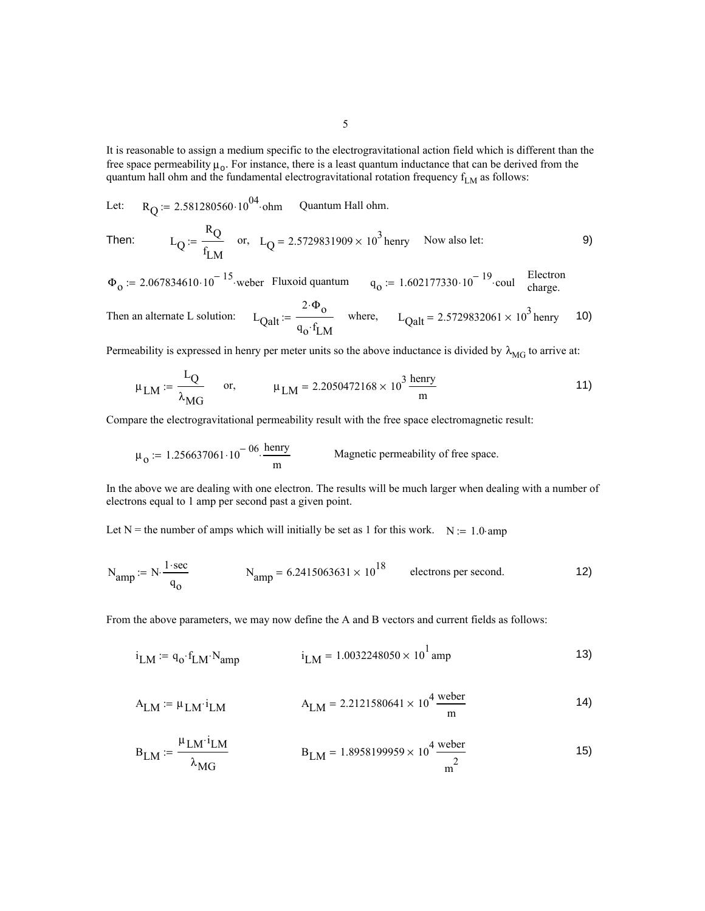It is reasonable to assign a medium specific to the electrogravitational action field which is different than the free space permeability  $\mu_0$ . For instance, there is a least quantum inductance that can be derived from the quantum hall ohm and the fundamental electrogravitational rotation frequency  $f_{LM}$  as follows:

Let:  $R_Q = 2.581280560 \cdot 10^{04}$  ohm Quantum Hall ohm.

Then: 
$$
L_Q := \frac{R_Q}{f_{LM}}
$$
 or,  $L_Q = 2.5729831909 \times 10^3$  henry Now also let:

 $\Phi_0 = 2.067834610 \cdot 10^{-15}$  weber Fluxoid quantum  $q_0 = 1.602177330 \cdot 10^{-19}$  coul Electron charge.

Then an alternate L solution: 
$$
L_{Qalt} := \frac{2 \cdot \Phi_0}{q_0 \cdot f_{LM}}
$$
 where,  $L_{Qalt} = 2.5729832061 \times 10^3$  henry 10)

Permeability is expressed in henry per meter units so the above inductance is divided by  $\lambda_{MG}$  to arrive at:

$$
\mu_{LM} := \frac{L_Q}{\lambda_{MG}}
$$
 or,  $\mu_{LM} = 2.2050472168 \times 10^3 \frac{\text{henry}}{\text{m}}$  (11)

Compare the electrogravitational permeability result with the free space electromagnetic result:

$$
\mu_0 := 1.256637061 \cdot 10^{-06} \cdot \frac{\text{henry}}{\text{m}}
$$
 Magnetic permeability of free space.

In the above we are dealing with one electron. The results will be much larger when dealing with a number of electrons equal to 1 amp per second past a given point.

Let N = the number of amps which will initially be set as 1 for this work.  $N := 1.0$  amp

$$
N_{\text{amp}} := N \cdot \frac{1 \cdot \text{sec}}{q_0}
$$
  $N_{\text{amp}} = 6.2415063631 \times 10^{18}$  electrons per second.

From the above parameters, we may now define the A and B vectors and current fields as follows:

$$
i_{LM} := q_0 \cdot f_{LM} \cdot N_{amp}
$$
  $i_{LM} = 1.0032248050 \times 10^1$ amp (13)

$$
A_{LM} := \mu_{LM} \cdot i_{LM} \qquad A_{LM} = 2.2121580641 \times 10^4 \frac{\text{weber}}{\text{m}} \tag{14}
$$

$$
B_{LM} := \frac{\mu_{LM} \cdot i_{LM}}{\lambda_{MG}} \qquad B_{LM} = 1.8958199959 \times 10^4 \frac{\text{weber}}{\text{m}^2} \qquad (15)
$$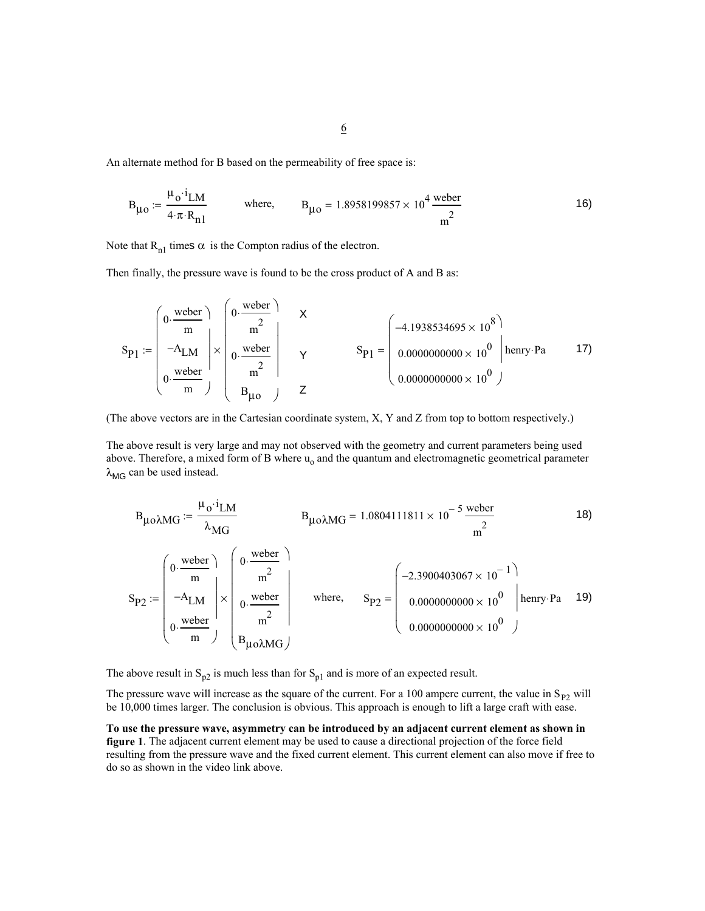An alternate method for B based on the permeability of free space is:

$$
B_{\mu o} := \frac{\mu_0 \cdot i_{LM}}{4 \cdot \pi \cdot R_{n1}} \quad \text{where,} \quad B_{\mu o} = 1.8958199857 \times 10^4 \frac{\text{weber}}{\text{m}^2} \tag{16}
$$

Note that  $R_{n1}$  times  $\alpha$  is the Compton radius of the electron.

Then finally, the pressure wave is found to be the cross product of A and B as:

$$
S_{P1} := \begin{pmatrix} 0. \frac{\text{wober}}{\text{m}} \\ -A_{LM} \\ 0. \frac{\text{weber}}{\text{m}} \end{pmatrix} \times \begin{pmatrix} 0. \frac{\text{weber}}{\text{m}^2} \\ 0. \frac{\text{weber}}{\text{m}^2} \\ B_{\mu \text{o}} \end{pmatrix} \times S_{P1} = \begin{pmatrix} -4.1938534695 \times 10^8 \\ 0.0000000000 \times 10^0 \\ 0.0000000000 \times 10^0 \end{pmatrix} \text{henry-Pa} \tag{7}
$$

(The above vectors are in the Cartesian coordinate system, X, Y and Z from top to bottom respectively.)

The above result is very large and may not observed with the geometry and current parameters being used above. Therefore, a mixed form of B where  $u_0$  and the quantum and electromagnetic geometrical parameter  $\lambda_{\text{MG}}$  can be used instead.

$$
B_{\mu\no\lambda MG} := \frac{\mu_0 \cdot i_{LM}}{\lambda_{MG}} \qquad B_{\mu o\lambda MG} = 1.0804111811 \times 10^{-5} \frac{\text{wober}}{\text{m}^2} \qquad (18)
$$
  
\n
$$
S_{P2} := \begin{pmatrix} 0 \cdot \frac{\text{weber}}{\text{m}} \\ -A_{LM} \\ 0 \cdot \frac{\text{weber}}{\text{m}} \end{pmatrix} \times \begin{pmatrix} 0 \cdot \frac{\text{weber}}{\text{m}^2} \\ 0 \cdot \frac{\text{weber}}{\text{m}^2} \\ 0 \cdot \frac{\text{weber}}{\text{m}^2} \end{pmatrix} \qquad \text{where,} \qquad S_{P2} = \begin{pmatrix} -2.3900403067 \times 10^{-1} \\ 0.0000000000 \times 10^{0} \\ 0.0000000000 \times 10^{0} \end{pmatrix} \text{henry-Pa} \qquad (19)
$$

The above result in  $S_{p2}$  is much less than for  $S_{p1}$  and is more of an expected result.

The pressure wave will increase as the square of the current. For a 100 ampere current, the value in  $S_{P2}$  will be 10,000 times larger. The conclusion is obvious. This approach is enough to lift a large craft with ease.

**To use the pressure wave, asymmetry can be introduced by an adjacent current element as shown in figure 1**. The adjacent current element may be used to cause a directional projection of the force field resulting from the pressure wave and the fixed current element. This current element can also move if free to do so as shown in the video link above.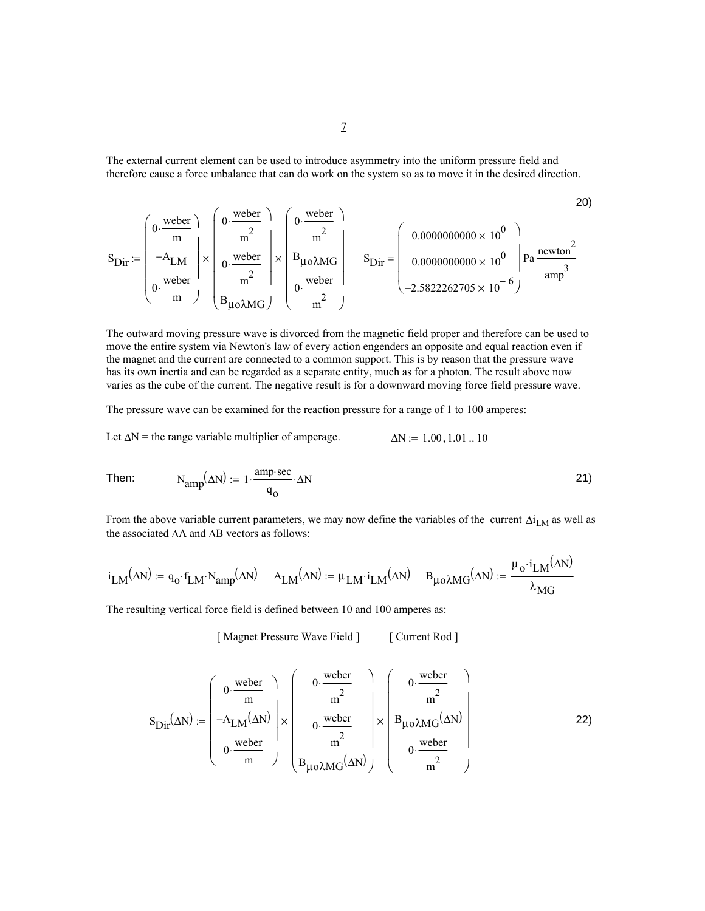The external current element can be used to introduce asymmetry into the uniform pressure field and therefore cause a force unbalance that can do work on the system so as to move it in the desired direction.

$$
S_{\text{Dir}} := \begin{pmatrix} 0. \frac{\text{weber}}{m} \\ -A_{\text{LM}} \\ 0. \frac{\text{weber}}{m} \end{pmatrix} \times \begin{pmatrix} 0. \frac{\text{weber}}{m^2} \\ 0. \frac{\text{weber}}{m^2} \\ 0. \frac{\text{weber}}{m} \end{pmatrix} \times \begin{pmatrix} 0. \frac{\text{weber}}{m^2} \\ B_{\mu\text{o}\lambda\text{MG}} \\ 0. \frac{\text{weber}}{m^2} \end{pmatrix} \times \begin{pmatrix} 0. \frac{\text{weber}}{m^2} \\ B_{\mu\text{o}\lambda\text{MG}} \\ 0. \frac{\text{weber}}{m^2} \end{pmatrix} \quad S_{\text{Dir}} = \begin{pmatrix} 0.0000000000 \times 10^0 \\ 0.0000000000 \times 10^0 \\ -2.5822262705 \times 10^{-6} \end{pmatrix} \quad \text{and} \quad S_{\text{Dir}} = \begin{pmatrix} 0.000000000 \times 10^0 \\ 0.000000000 \times 10^0 \\ -2.5822262705 \times 10^{-6} \end{pmatrix}
$$

The outward moving pressure wave is divorced from the magnetic field proper and therefore can be used to move the entire system via Newton's law of every action engenders an opposite and equal reaction even if the magnet and the current are connected to a common support. This is by reason that the pressure wave has its own inertia and can be regarded as a separate entity, much as for a photon. The result above now varies as the cube of the current. The negative result is for a downward moving force field pressure wave.

The pressure wave can be examined for the reaction pressure for a range of 1 to 100 amperes:

Let  $\Delta N$  = the range variable multiplier of amperage.  $\Delta N = 1.00, 1.01, 10$ 

Then: 
$$
N_{amp}(\Delta N) := 1 \cdot \frac{amp\sec}{q_0} \cdot \Delta N
$$
 (21)

From the above variable current parameters, we may now define the variables of the current  $\Delta i_{LM}$  as well as the associated ∆A and ∆B vectors as follows:

$$
i_{LM}(\Delta N) := q_o \cdot f_{LM} \cdot N_{amp}(\Delta N) \quad A_{LM}(\Delta N) := \mu_{LM} \cdot i_{LM}(\Delta N) \quad B_{\mu o\lambda MG}(\Delta N) := \frac{\mu_o \cdot i_{LM}(\Delta N)}{\lambda_{MG}}
$$

The resulting vertical force field is defined between 10 and 100 amperes as:

[ Magnet Pressure Wave Field ] [ Current Rod ]

$$
S_{\text{Dir}}(\Delta N) := \begin{pmatrix} 0 \cdot \frac{\text{weber}}{m} \\ -A_{\text{LM}}(\Delta N) \\ 0 \cdot \frac{\text{weber}}{m} \end{pmatrix} \times \begin{pmatrix} 0 \cdot \frac{\text{weber}}{m^2} \\ 0 \cdot \frac{\text{weber}}{m^2} \\ 0 \cdot \frac{\text{weber}}{m^2} \end{pmatrix} \times \begin{pmatrix} 0 \cdot \frac{\text{weber}}{m^2} \\ B_{\mu\text{o}\lambda\text{MG}}(\Delta N) \\ 0 \cdot \frac{\text{weber}}{m^2} \end{pmatrix}
$$
 22)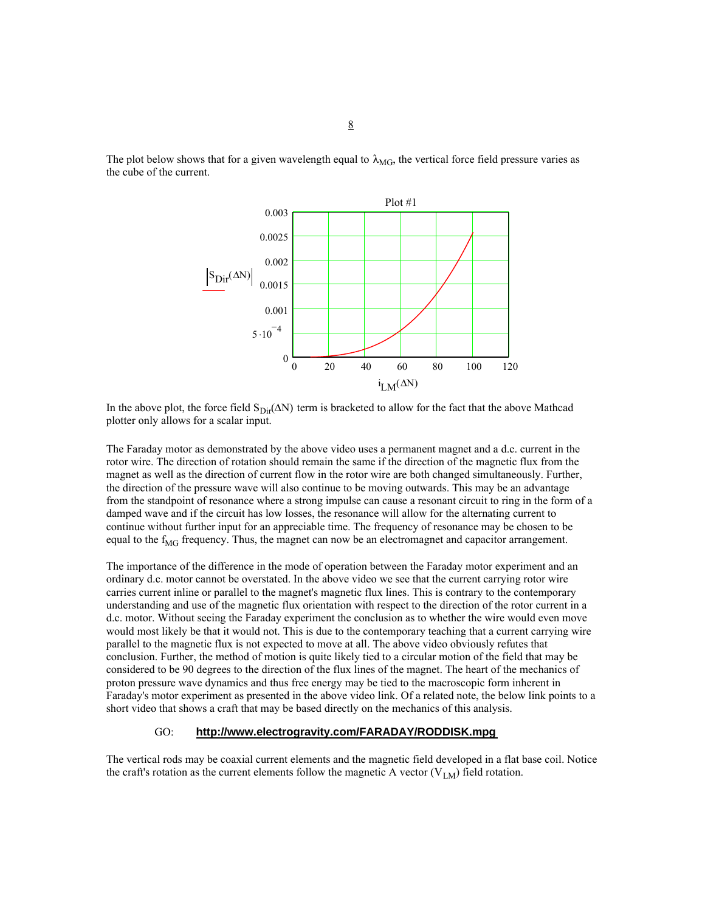



In the above plot, the force field  $S_{\text{Dir}}(\Delta N)$  term is bracketed to allow for the fact that the above Mathcad plotter only allows for a scalar input.

The Faraday motor as demonstrated by the above video uses a permanent magnet and a d.c. current in the rotor wire. The direction of rotation should remain the same if the direction of the magnetic flux from the magnet as well as the direction of current flow in the rotor wire are both changed simultaneously. Further, the direction of the pressure wave will also continue to be moving outwards. This may be an advantage from the standpoint of resonance where a strong impulse can cause a resonant circuit to ring in the form of a damped wave and if the circuit has low losses, the resonance will allow for the alternating current to continue without further input for an appreciable time. The frequency of resonance may be chosen to be equal to the  $f_{MG}$  frequency. Thus, the magnet can now be an electromagnet and capacitor arrangement.

The importance of the difference in the mode of operation between the Faraday motor experiment and an ordinary d.c. motor cannot be overstated. In the above video we see that the current carrying rotor wire carries current inline or parallel to the magnet's magnetic flux lines. This is contrary to the contemporary understanding and use of the magnetic flux orientation with respect to the direction of the rotor current in a d.c. motor. Without seeing the Faraday experiment the conclusion as to whether the wire would even move would most likely be that it would not. This is due to the contemporary teaching that a current carrying wire parallel to the magnetic flux is not expected to move at all. The above video obviously refutes that conclusion. Further, the method of motion is quite likely tied to a circular motion of the field that may be considered to be 90 degrees to the direction of the flux lines of the magnet. The heart of the mechanics of proton pressure wave dynamics and thus free energy may be tied to the macroscopic form inherent in Faraday's motor experiment as presented in the above video link. Of a related note, the below link points to a short video that shows a craft that may be based directly on the mechanics of this analysis.

#### GO: **http://www.electrogravity.com/FARADAY/RODDISK.mpg**

The vertical rods may be coaxial current elements and the magnetic field developed in a flat base coil. Notice the craft's rotation as the current elements follow the magnetic A vector  $(V_{LM})$  field rotation.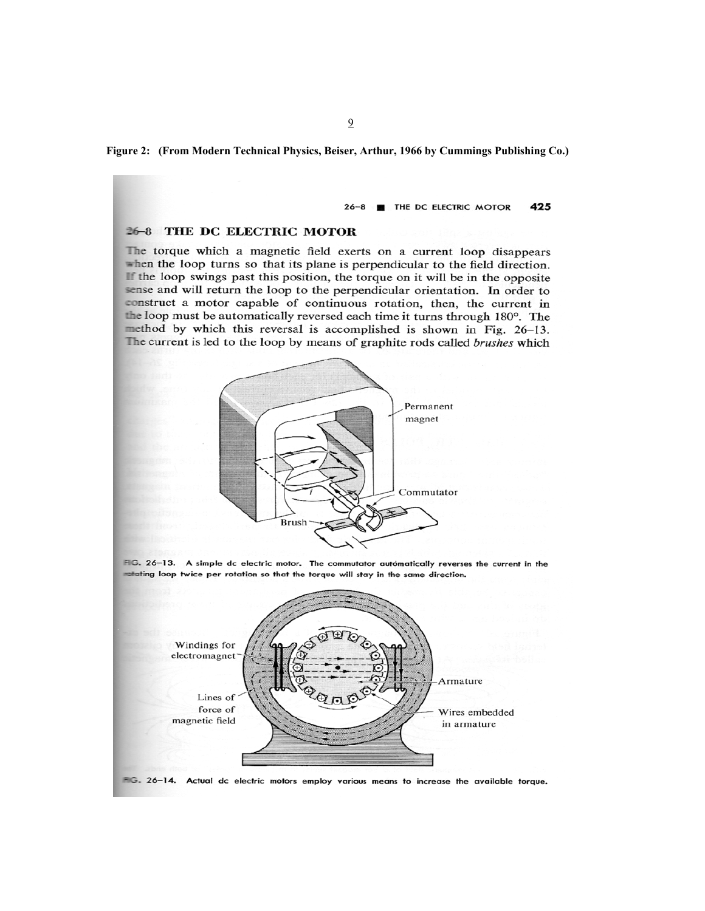**Figure 2: (From Modern Technical Physics, Beiser, Arthur, 1966 by Cummings Publishing Co.)**

#### 26-8 **FILE DC ELECTRIC MOTOR** 425

#### 26-8 THE DC ELECTRIC MOTOR

The torque which a magnetic field exerts on a current loop disappears when the loop turns so that its plane is perpendicular to the field direction. If the loop swings past this position, the torque on it will be in the opposite sense and will return the loop to the perpendicular orientation. In order to construct a motor capable of continuous rotation, then, the current in the loop must be automatically reversed each time it turns through 180°. The method by which this reversal is accomplished is shown in Fig. 26-13. The current is led to the loop by means of graphite rods called brushes which



FIG. 26-13. A simple dc electric motor. The commutator automatically reverses the current in the matating loop twice per rotation so that the torque will stay in the same direction.